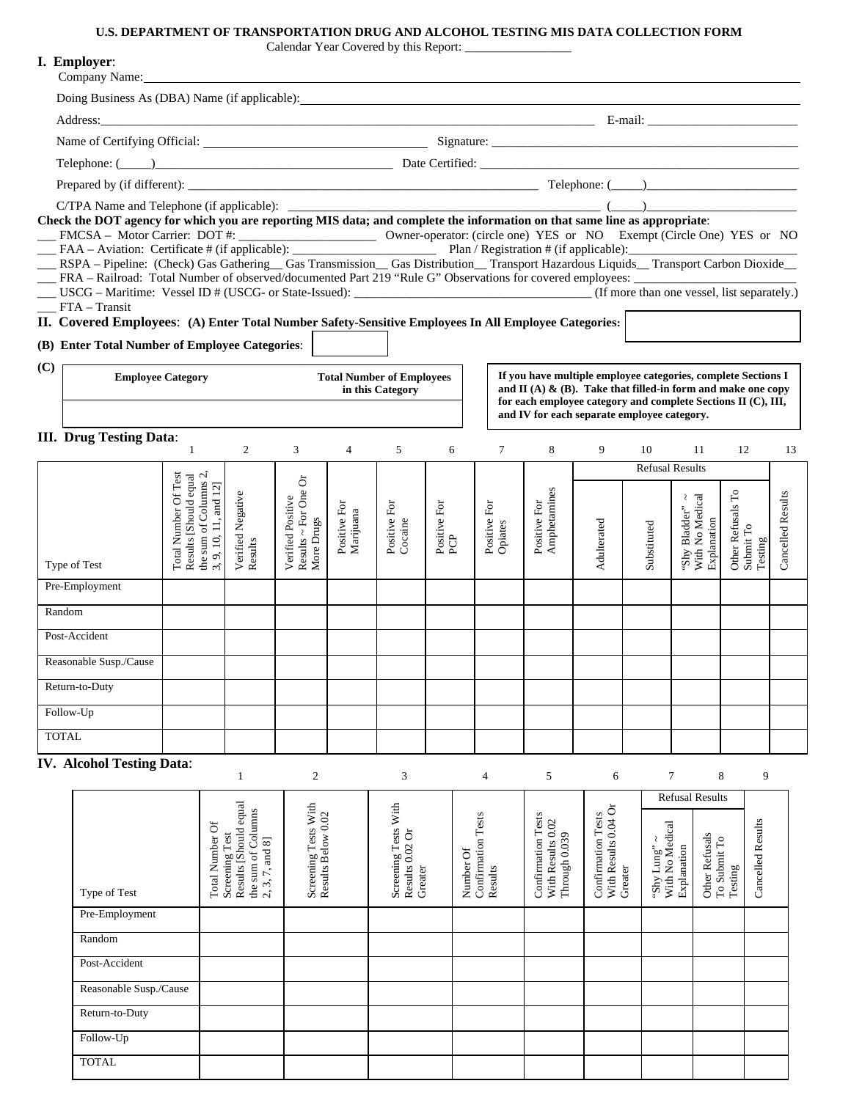## **U.S. DEPARTMENT OF TRANSPORTATION DRUG AND ALCOHOL TESTING MIS DATA COLLECTION FORM**

|              | I. Employer:<br>Company Name: <u>Department</u>                                                                                                                                                                                                                                                                                                                                                                                                                                                                                                                                     |                                                                                                                                                                                                                               |                                                                                             |                                                         |                                                               |                         |                            |                                                                                                                                                                                 |                              |                   |             |                                                      |                                           |                   |
|--------------|-------------------------------------------------------------------------------------------------------------------------------------------------------------------------------------------------------------------------------------------------------------------------------------------------------------------------------------------------------------------------------------------------------------------------------------------------------------------------------------------------------------------------------------------------------------------------------------|-------------------------------------------------------------------------------------------------------------------------------------------------------------------------------------------------------------------------------|---------------------------------------------------------------------------------------------|---------------------------------------------------------|---------------------------------------------------------------|-------------------------|----------------------------|---------------------------------------------------------------------------------------------------------------------------------------------------------------------------------|------------------------------|-------------------|-------------|------------------------------------------------------|-------------------------------------------|-------------------|
|              | Doing Business As (DBA) Name (if applicable): 1992. The material contract of the USA of the USA of the USA of the USA of the USA of the USA of the USA of the USA of the USA of the USA of the USA of the USA of the USA of th                                                                                                                                                                                                                                                                                                                                                      |                                                                                                                                                                                                                               |                                                                                             |                                                         |                                                               |                         |                            |                                                                                                                                                                                 |                              |                   |             |                                                      |                                           |                   |
|              |                                                                                                                                                                                                                                                                                                                                                                                                                                                                                                                                                                                     |                                                                                                                                                                                                                               |                                                                                             |                                                         |                                                               |                         |                            |                                                                                                                                                                                 |                              |                   |             |                                                      |                                           |                   |
|              |                                                                                                                                                                                                                                                                                                                                                                                                                                                                                                                                                                                     |                                                                                                                                                                                                                               |                                                                                             |                                                         |                                                               |                         |                            |                                                                                                                                                                                 |                              |                   |             |                                                      |                                           |                   |
|              |                                                                                                                                                                                                                                                                                                                                                                                                                                                                                                                                                                                     | Telephone: (Comparison of the Certified: Contract of the Certified: Contract of the Certified: Comparison of the Certified: Comparison of the Certified: Comparison of the Certified: Comparison of the Certified: Comparison |                                                                                             |                                                         |                                                               |                         |                            |                                                                                                                                                                                 |                              |                   |             |                                                      |                                           |                   |
|              |                                                                                                                                                                                                                                                                                                                                                                                                                                                                                                                                                                                     |                                                                                                                                                                                                                               |                                                                                             |                                                         |                                                               |                         |                            |                                                                                                                                                                                 |                              |                   |             |                                                      |                                           |                   |
|              | Check the DOT agency for which you are reporting MIS data; and complete the information on that same line as appropriate:<br>FMCSA – Motor Carrier: DOT #:<br>FAA – Aviation: Certificate # (if applicable):<br>RSPA – Pipeline: (Check) Gas Gathering Gas Transmission Gas Distribution Transport Hazardous Liquids Transport Carbon Dioxide<br>FRA - Railroad: Total Number of observed/documented Part 219 "Rule G" Observations for covered employees:<br>FTA - Transit<br>II. Covered Employees: (A) Enter Total Number Safety-Sensitive Employees In All Employee Categories: |                                                                                                                                                                                                                               |                                                                                             |                                                         |                                                               |                         |                            |                                                                                                                                                                                 |                              |                   |             |                                                      |                                           |                   |
| (C)          | (B) Enter Total Number of Employee Categories:                                                                                                                                                                                                                                                                                                                                                                                                                                                                                                                                      |                                                                                                                                                                                                                               |                                                                                             |                                                         | If you have multiple employee categories, complete Sections I |                         |                            |                                                                                                                                                                                 |                              |                   |             |                                                      |                                           |                   |
|              | <b>Employee Category</b>                                                                                                                                                                                                                                                                                                                                                                                                                                                                                                                                                            |                                                                                                                                                                                                                               |                                                                                             |                                                         | <b>Total Number of Employees</b><br>in this Category          |                         |                            | and $\Pi$ (A) & (B). Take that filled-in form and make one copy<br>for each employee category and complete Sections II (C), III,<br>and IV for each separate employee category. |                              |                   |             |                                                      |                                           |                   |
|              | <b>III.</b> Drug Testing Data:                                                                                                                                                                                                                                                                                                                                                                                                                                                                                                                                                      | $\mathbf{1}$                                                                                                                                                                                                                  | 2                                                                                           | 3                                                       | $\overline{4}$                                                | 5                       | 6                          | $\tau$                                                                                                                                                                          | 8                            | 9                 | 10          | 11                                                   | 12                                        | 13                |
|              |                                                                                                                                                                                                                                                                                                                                                                                                                                                                                                                                                                                     |                                                                                                                                                                                                                               |                                                                                             |                                                         |                                                               |                         |                            |                                                                                                                                                                                 |                              |                   |             | <b>Refusal Results</b>                               |                                           |                   |
|              | Type of Test                                                                                                                                                                                                                                                                                                                                                                                                                                                                                                                                                                        | Total Number Of Test<br>Results [Should equal                                                                                                                                                                                 | the sum of Columns 2<br>9, 10, 11, and 12]<br>Negative<br>Verified I<br>Results<br>$\omega$ | Results ~ For One Or<br>More Drugs<br>Verified Positive | Positive For<br>Marijuana                                     | Positive For<br>Cocaine | Positive For<br><b>PCP</b> | Positive For<br>Opiates                                                                                                                                                         | Amphetamines<br>Positive For | Adulterated       | Substituted | With No Medical<br>₹<br>'Shy Bladder"<br>Explanation | Other Refusals To<br>Submit To<br>Testing | Cancelled Results |
|              | Pre-Employment                                                                                                                                                                                                                                                                                                                                                                                                                                                                                                                                                                      |                                                                                                                                                                                                                               |                                                                                             |                                                         |                                                               |                         |                            |                                                                                                                                                                                 |                              |                   |             |                                                      |                                           |                   |
| Random       |                                                                                                                                                                                                                                                                                                                                                                                                                                                                                                                                                                                     |                                                                                                                                                                                                                               |                                                                                             |                                                         |                                                               |                         |                            |                                                                                                                                                                                 |                              |                   |             |                                                      |                                           |                   |
|              | Post-Accident                                                                                                                                                                                                                                                                                                                                                                                                                                                                                                                                                                       |                                                                                                                                                                                                                               |                                                                                             |                                                         |                                                               |                         |                            |                                                                                                                                                                                 |                              |                   |             |                                                      |                                           |                   |
|              | Reasonable Susp./Cause                                                                                                                                                                                                                                                                                                                                                                                                                                                                                                                                                              |                                                                                                                                                                                                                               |                                                                                             |                                                         |                                                               |                         |                            |                                                                                                                                                                                 |                              |                   |             |                                                      |                                           |                   |
|              | Return-to-Duty                                                                                                                                                                                                                                                                                                                                                                                                                                                                                                                                                                      |                                                                                                                                                                                                                               |                                                                                             |                                                         |                                                               |                         |                            |                                                                                                                                                                                 |                              |                   |             |                                                      |                                           |                   |
| Follow-Up    |                                                                                                                                                                                                                                                                                                                                                                                                                                                                                                                                                                                     |                                                                                                                                                                                                                               |                                                                                             |                                                         |                                                               |                         |                            |                                                                                                                                                                                 |                              |                   |             |                                                      |                                           |                   |
|              |                                                                                                                                                                                                                                                                                                                                                                                                                                                                                                                                                                                     |                                                                                                                                                                                                                               |                                                                                             |                                                         |                                                               |                         |                            |                                                                                                                                                                                 |                              |                   |             |                                                      |                                           |                   |
| <b>TOTAL</b> |                                                                                                                                                                                                                                                                                                                                                                                                                                                                                                                                                                                     |                                                                                                                                                                                                                               |                                                                                             |                                                         |                                                               |                         |                            |                                                                                                                                                                                 |                              |                   |             |                                                      |                                           |                   |
|              | <b>IV. Alcohol Testing Data:</b>                                                                                                                                                                                                                                                                                                                                                                                                                                                                                                                                                    |                                                                                                                                                                                                                               | $\mathbf{1}$                                                                                | $\overline{c}$                                          |                                                               | 3                       |                            | $\overline{4}$                                                                                                                                                                  | 5                            | 6                 |             | $\tau$                                               | 9<br>8                                    |                   |
|              |                                                                                                                                                                                                                                                                                                                                                                                                                                                                                                                                                                                     |                                                                                                                                                                                                                               |                                                                                             |                                                         |                                                               |                         |                            |                                                                                                                                                                                 |                              |                   |             | <b>Refusal Results</b>                               |                                           |                   |
|              |                                                                                                                                                                                                                                                                                                                                                                                                                                                                                                                                                                                     |                                                                                                                                                                                                                               | qual<br>ins                                                                                 | $\frac{\text{Vith}}{2}$                                 |                                                               | Vith                    |                            | 5                                                                                                                                                                               | 5                            | $\mathfrak{S}$ or |             |                                                      |                                           |                   |

|                        |                                                                                                                                                                    |                                                      |                                                              |                                                 |                                                                    |                                                                         | wilasai wisans                               |                                                      |                   |
|------------------------|--------------------------------------------------------------------------------------------------------------------------------------------------------------------|------------------------------------------------------|--------------------------------------------------------------|-------------------------------------------------|--------------------------------------------------------------------|-------------------------------------------------------------------------|----------------------------------------------|------------------------------------------------------|-------------------|
| Type of Test           | Results [Should equal<br>the sum of Columns<br>ð<br>Screening Test<br><b>Total Number</b><br>and 8<br>$\boldsymbol{\tau}$<br>$\ddot{\mathcal{C}}$<br>$\mathcal{L}$ | With<br>Results Below 0.02<br><b>Screening Tests</b> | With<br><b>Screening Tests</b><br>Results 0.02 Or<br>Greater | Tests<br>Confirmation<br>ð<br>Number<br>Results | Tests<br>$0.02\,$<br>Through 0.039<br>Confirmation<br>With Results | $0.04\ \mathrm{Or}$<br>Tests<br>Confirmation<br>With Results<br>Greater | With No Medical<br>"Shy Lung"<br>Explanation | Other Refusals<br>$\Gamma$ o<br>To Submit<br>Testing | Cancelled Results |
| Pre-Employment         |                                                                                                                                                                    |                                                      |                                                              |                                                 |                                                                    |                                                                         |                                              |                                                      |                   |
| Random                 |                                                                                                                                                                    |                                                      |                                                              |                                                 |                                                                    |                                                                         |                                              |                                                      |                   |
| Post-Accident          |                                                                                                                                                                    |                                                      |                                                              |                                                 |                                                                    |                                                                         |                                              |                                                      |                   |
| Reasonable Susp./Cause |                                                                                                                                                                    |                                                      |                                                              |                                                 |                                                                    |                                                                         |                                              |                                                      |                   |
| Return-to-Duty         |                                                                                                                                                                    |                                                      |                                                              |                                                 |                                                                    |                                                                         |                                              |                                                      |                   |
| Follow-Up              |                                                                                                                                                                    |                                                      |                                                              |                                                 |                                                                    |                                                                         |                                              |                                                      |                   |
| <b>TOTAL</b>           |                                                                                                                                                                    |                                                      |                                                              |                                                 |                                                                    |                                                                         |                                              |                                                      |                   |